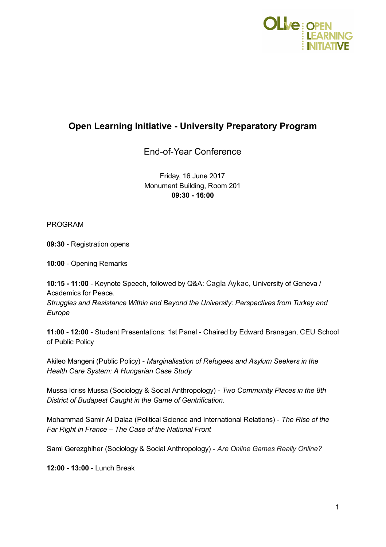

## Open Learning Initiative University Preparatory Program

End-of-Year Conference

Friday, 16 June 2017 Monument Building, Room 201 09:30 16:00

PROGRAM

09:30 - Registration opens

10:00 - Opening Remarks

10:15 11:00 Keynote Speech, followed by Q&A: Cagla Aykac, University of Geneva / Academics for Peace.

Struggles and Resistance Within and Beyond the University: Perspectives from Turkey and Europe

11:00 - 12:00 - Student Presentations: 1st Panel - Chaired by Edward Branagan, CEU School of Public Policy

Akileo Mangeni (Public Policy) - Marginalisation of Refugees and Asylum Seekers in the Health Care System: A Hungarian Case Study

Mussa Idriss Mussa (Sociology & Social Anthropology) - Two Community Places in the 8th District of Budapest Caught in the Game of Gentrification.

Mohammad Samir Al Dalaa (Political Science and International Relations) - The Rise of the Far Right in France – The Case of the National Front

Sami Gerezghiher (Sociology & Social Anthropology) - Are Online Games Really Online?

12:00 - 13:00 - Lunch Break